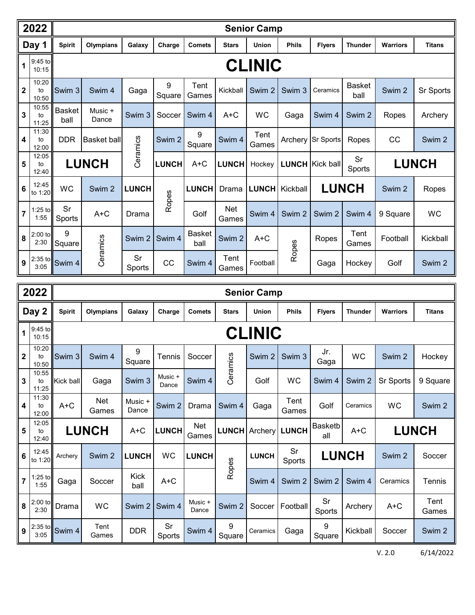| 2022           |                      |                                                              | <b>Senior Camp</b> |                   |                   |                       |                     |                   |                   |                                               |                       |                 |                  |  |  |
|----------------|----------------------|--------------------------------------------------------------|--------------------|-------------------|-------------------|-----------------------|---------------------|-------------------|-------------------|-----------------------------------------------|-----------------------|-----------------|------------------|--|--|
|                | Day 1                | <b>Spirit</b>                                                | Olympians          | Galaxy            | Charge            | <b>Comets</b>         | <b>Stars</b>        | <b>Union</b>      | <b>Phils</b>      | <b>Flyers</b>                                 | <b>Thunder</b>        | <b>Warriors</b> | <b>Titans</b>    |  |  |
| 1              | 9:45 to<br>10:15     | <b>CLINIC</b>                                                |                    |                   |                   |                       |                     |                   |                   |                                               |                       |                 |                  |  |  |
| $\overline{2}$ | 10:20<br>to<br>10:50 | Swim 3                                                       | Swim 4             | Gaga              | 9<br>Square       | Tent<br>Games         | Kickball            | Swim <sub>2</sub> | Swim 3            | Ceramics                                      | <b>Basket</b><br>ball | Swim 2          | <b>Sr Sports</b> |  |  |
| $\mathbf{3}$   | 10:55<br>to<br>11:25 | <b>Basket</b><br>ball                                        | Music +<br>Dance   | Swim <sub>3</sub> | Soccer            | Swim 4                | A+C                 | WC                | Gaga              | Swim 4                                        | Swim 2                | Ropes           | Archery          |  |  |
| $\overline{4}$ | 11:30<br>to<br>12:00 | <b>DDR</b>                                                   | <b>Basket ball</b> | Ceramics          | Swim <sub>2</sub> | 9<br>Square           | Swim 4              | Tent<br>Games     | Archery           | Sr Sports                                     | Ropes                 | CC              | Swim 2           |  |  |
| 5              | 12:05<br>to<br>12:40 |                                                              | <b>LUNCH</b>       |                   | <b>LUNCH</b>      | $A+C$                 | <b>LUNCH</b>        | Hockey            |                   | Sr<br><b>LUNCH</b> Kick ball<br><b>Sports</b> |                       | <b>LUNCH</b>    |                  |  |  |
| $6\phantom{a}$ | 12:45<br>to 1:20     | <b>WC</b>                                                    | Swim <sub>2</sub>  | <b>LUNCH</b>      | Ropes             | <b>LUNCH</b>          | Drama               | <b>LUNCH</b>      | Kickball          |                                               | <b>LUNCH</b>          | Swim 2          | Ropes            |  |  |
| $\overline{7}$ | $1:25$ to<br>1:55    | Sr<br>Sports                                                 | $A+C$              | Drama             |                   | Golf                  | <b>Net</b><br>Games | Swim 4            | Swim <sub>2</sub> | Swim <sub>2</sub>                             | Swim 4                | 9 Square        | WC               |  |  |
| 8              | $2:00$ to<br>2:30    | 9<br>Square                                                  | Ceramics           | Swim 2            | Swim 4            | <b>Basket</b><br>ball | Swim <sub>2</sub>   | $A+C$             | Ropes             | Ropes                                         | Tent<br>Games         | Football        | Kickball         |  |  |
| 9              | 3:05                 | $\left  \frac{2:35 \text{ to}}{1 - \text{ }} \right $ Swim 4 |                    | Sr<br>Sports      | CC                | Swim <sub>4</sub>     | Tent<br>Games       | Football          |                   | Gaga                                          | Hockey                | Golf            | Swim 2           |  |  |

| 2022                    |                      |                                      | <b>Senior Camp</b>  |                  |                  |                     |                   |                   |                 |                       |                |                 |                   |  |  |
|-------------------------|----------------------|--------------------------------------|---------------------|------------------|------------------|---------------------|-------------------|-------------------|-----------------|-----------------------|----------------|-----------------|-------------------|--|--|
|                         | Day 2                | <b>Spirit</b>                        | Olympians           | Galaxy           | Charge           | <b>Comets</b>       | <b>Stars</b>      | <b>Union</b>      | <b>Phils</b>    | <b>Flyers</b>         | <b>Thunder</b> | <b>Warriors</b> | <b>Titans</b>     |  |  |
| $\mathbf{1}$            | 9:45 to<br>10:15     | <b>CLINIC</b>                        |                     |                  |                  |                     |                   |                   |                 |                       |                |                 |                   |  |  |
| l 2                     | 10:20<br>to<br>10:50 | Swim <sub>3</sub>                    | Swim 4              | 9<br>Square      | Tennis           | Soccer              | Ceramics          | Swim <sub>2</sub> | Swim 3          | Jr.<br>Gaga           | <b>WC</b>      | Swim 2          | Hockey            |  |  |
| $\mathbf{3}$            | 10:55<br>to<br>11:25 | Kick ball                            | Gaga                | Swim 3           | Music +<br>Dance | Swim 4              |                   | Golf              | <b>WC</b>       | Swim 4                | Swim 2         | Sr Sports       | 9 Square          |  |  |
| $\overline{\mathbf{4}}$ | 11:30<br>to<br>12:00 | $A+C$                                | <b>Net</b><br>Games | Music +<br>Dance | Swim 2           | Drama               | Swim 4            | Gaga              | Tent<br>Games   | Golf                  | Ceramics       | WC              | Swim 2            |  |  |
| 5                       | 12:05<br>to<br>12:40 |                                      | <b>LUNCH</b>        | $A+C$            | <b>LUNCH</b>     | <b>Net</b><br>Games | <b>LUNCH</b>      |                   | Archery   LUNCH | <b>Basketb</b><br>all | $A+C$          |                 | <b>LUNCH</b>      |  |  |
| ll 6                    | 12:45<br>to 1:20     | Archerv                              | Swim 2              | <b>LUNCH</b>     | WC               | <b>LUNCH</b>        | Ropes             | <b>LUNCH</b>      | Sr<br>Sports    |                       | <b>LUNCH</b>   | Swim 2          | Soccer            |  |  |
| ll 7                    | $1:25$ to<br>1:55    | Gaga                                 | Soccer              | Kick<br>ball     | $A+C$            |                     |                   | Swim 4            | Swim 2          | Swim 2                | Swim 4         | Ceramics        | Tennis            |  |  |
| ll 8                    | $2:00$ to<br>2:30    | Drama                                | <b>WC</b>           | Swim 2           | Swim 4           | Music +<br>Dance    | Swim <sub>2</sub> | Soccer            | Football        | Sr<br>Sports          | Archery        | $A+C$           | Tent<br>Games     |  |  |
| ll 9                    | 3:05                 | $\frac{2.35 \text{ to}}{100}$ Swim 4 | Tent<br>Games       | <b>DDR</b>       | Sr<br>Sports     | Swim 4              | 9<br>Square       | Ceramics          | Gaga            | 9<br>Square           | Kickball       | Soccer          | Swim <sub>2</sub> |  |  |

V. 2.0 6/14/2022